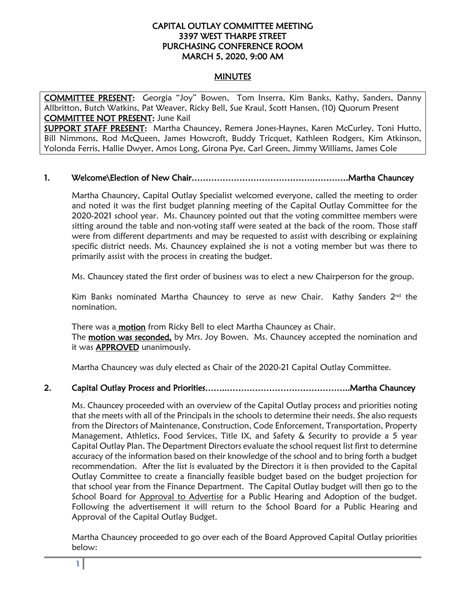### CAPITAL OUTLAY COMMITTEE MEETING 3397 WEST THARPE STREET PURCHASING CONFERENCE ROOM MARCH 5, 2020, 9:00 AM

### MINUTES

COMMITTEE PRESENT: Georgia "Joy" Bowen, Tom Inserra, Kim Banks, Kathy, Sanders, Danny Allbritton, Butch Watkins, Pat Weaver, Ricky Bell, Sue Kraul, Scott Hansen, (10) Quorum Present COMMITTEE NOT PRESENT: June Kail

SUPPORT STAFF PRESENT: Martha Chauncey, Remera Jones-Haynes, Karen McCurley, Toni Hutto, Bill Nimmons, Rod McQueen, James Howcroft, Buddy Tricquet, Kathleen Rodgers, Kim Atkinson, Yolonda Ferris, Hallie Dwyer, Amos Long, Girona Pye, Carl Green, Jimmy Williams, James Cole

### 1. Welcome\Election of New Chair…………………………………….………….Martha Chauncey

Martha Chauncey, Capital Outlay Specialist welcomed everyone, called the meeting to order and noted it was the first budget planning meeting of the Capital Outlay Committee for the 2020-2021 school year. Ms. Chauncey pointed out that the voting committee members were sitting around the table and non-voting staff were seated at the back of the room. Those staff were from different departments and may be requested to assist with describing or explaining specific district needs. Ms. Chauncey explained she is not a voting member but was there to primarily assist with the process in creating the budget.

Ms. Chauncey stated the first order of business was to elect a new Chairperson for the group.

Kim Banks nominated Martha Chauncey to serve as new Chair. Kathy Sanders 2nd the nomination.

There was a **motion** from Ricky Bell to elect Martha Chauncey as Chair. The **motion was seconded**, by Mrs. Joy Bowen. Ms. Chauncey accepted the nomination and it was APPROVED unanimously.

Martha Chauncey was duly elected as Chair of the 2020-21 Capital Outlay Committee.

### 2. Capital Outlay Process and Priorities……..……………………………………..Martha Chauncey

Ms. Chauncey proceeded with an overview of the Capital Outlay process and priorities noting that she meets with all of the Principals in the schools to determine their needs. She also requests from the Directors of Maintenance, Construction, Code Enforcement, Transportation, Property Management, Athletics, Food Services, Title IX, and Safety & Security to provide a 5 year Capital Outlay Plan. The Department Directors evaluate the school request list first to determine accuracy of the information based on their knowledge of the school and to bring forth a budget recommendation. After the list is evaluated by the Directors it is then provided to the Capital Outlay Committee to create a financially feasible budget based on the budget projection for that school year from the Finance Department. The Capital Outlay budget will then go to the School Board for Approval to Advertise for a Public Hearing and Adoption of the budget. Following the advertisement it will return to the School Board for a Public Hearing and Approval of the Capital Outlay Budget.

Martha Chauncey proceeded to go over each of the Board Approved Capital Outlay priorities below: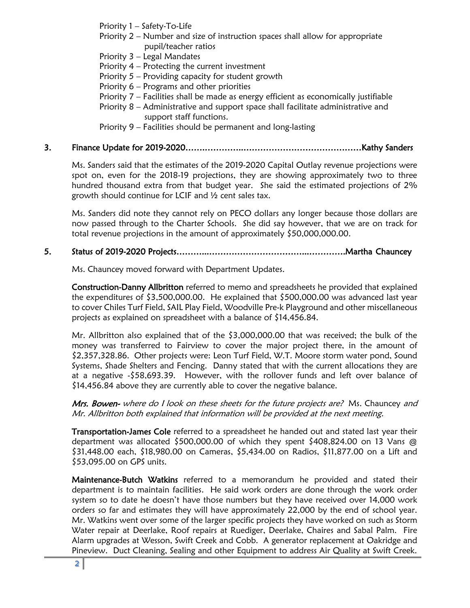Priority 1 – Safety-To-Life

- Priority 2 Number and size of instruction spaces shall allow for appropriate pupil/teacher ratios
- Priority 3 Legal Mandates
- Priority 4 Protecting the current investment
- Priority 5 Providing capacity for student growth
- Priority 6 Programs and other priorities
- Priority 7 Facilities shall be made as energy efficient as economically justifiable
- Priority 8 Administrative and support space shall facilitate administrative and support staff functions.
- Priority 9 Facilities should be permanent and long-lasting

## 3. Finance Update for 2019-2020…….…………..……………………………………Kathy Sanders

Ms. Sanders said that the estimates of the 2019-2020 Capital Outlay revenue projections were spot on, even for the 2018-19 projections, they are showing approximately two to three hundred thousand extra from that budget year. She said the estimated projections of 2% growth should continue for LCIF and ½ cent sales tax.

Ms. Sanders did note they cannot rely on PECO dollars any longer because those dollars are now passed through to the Charter Schools. She did say however, that we are on track for total revenue projections in the amount of approximately \$50,000,000.00.

## 5. Status of 2019-2020 Projects………...……………………………...………….Martha Chauncey

Ms. Chauncey moved forward with Department Updates.

Construction-Danny Allbritton referred to memo and spreadsheets he provided that explained the expenditures of \$3,500,000.00. He explained that \$500,000.00 was advanced last year to cover Chiles Turf Field, SAIL Play Field, Woodville Pre-k Playground and other miscellaneous projects as explained on spreadsheet with a balance of \$14,456.84.

Mr. Allbritton also explained that of the \$3,000,000.00 that was received; the bulk of the money was transferred to Fairview to cover the major project there, in the amount of \$2,357,328.86. Other projects were: Leon Turf Field, W.T. Moore storm water pond, Sound Systems, Shade Shelters and Fencing. Danny stated that with the current allocations they are at a negative -\$58,693.39. However, with the rollover funds and left over balance of \$14,456.84 above they are currently able to cover the negative balance.

Mrs. Bowen- where do I look on these sheets for the future projects are? Ms. Chauncey and Mr. Allbritton both explained that information will be provided at the next meeting.

Transportation-James Cole referred to a spreadsheet he handed out and stated last year their department was allocated \$500,000.00 of which they spent \$408,824.00 on 13 Vans @ \$31,448.00 each, \$18,980.00 on Cameras, \$5,434.00 on Radios, \$11,877.00 on a Lift and \$53,095.00 on GPS units.

Maintenance-Butch Watkins referred to a memorandum he provided and stated their department is to maintain facilities. He said work orders are done through the work order system so to date he doesn't have those numbers but they have received over 14,000 work orders so far and estimates they will have approximately 22,000 by the end of school year. Mr. Watkins went over some of the larger specific projects they have worked on such as Storm Water repair at Deerlake, Roof repairs at Ruediger, Deerlake, Chaires and Sabal Palm. Fire Alarm upgrades at Wesson, Swift Creek and Cobb. A generator replacement at Oakridge and Pineview. Duct Cleaning, Sealing and other Equipment to address Air Quality at Swift Creek.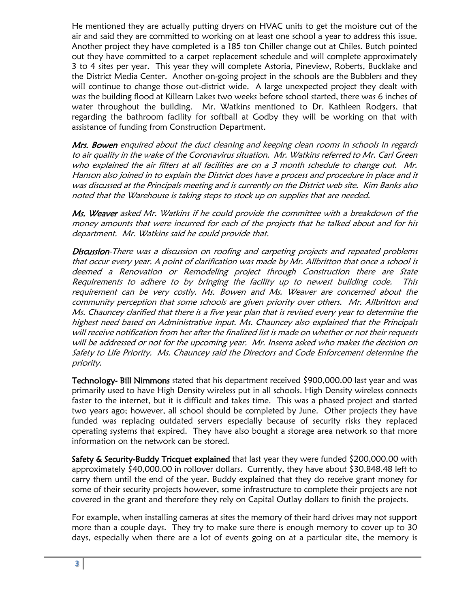He mentioned they are actually putting dryers on HVAC units to get the moisture out of the air and said they are committed to working on at least one school a year to address this issue. Another project they have completed is a 185 ton Chiller change out at Chiles. Butch pointed out they have committed to a carpet replacement schedule and will complete approximately 3 to 4 sites per year. This year they will complete Astoria, Pineview, Roberts, Bucklake and the District Media Center. Another on-going project in the schools are the Bubblers and they will continue to change those out-district wide. A large unexpected project they dealt with was the building flood at Killearn Lakes two weeks before school started, there was 6 inches of water throughout the building. Mr. Watkins mentioned to Dr. Kathleen Rodgers, that regarding the bathroom facility for softball at Godby they will be working on that with assistance of funding from Construction Department.

Mrs. Bowen enquired about the duct cleaning and keeping clean rooms in schools in regards to air quality in the wake of the Coronavirus situation. Mr. Watkins referred to Mr. Carl Green who explained the air filters at all facilities are on a 3 month schedule to change out. Mr. Hanson also joined in to explain the District does have a process and procedure in place and it was discussed at the Principals meeting and is currently on the District web site. Kim Banks also noted that the Warehouse is taking steps to stock up on supplies that are needed.

Ms. Weaver asked Mr. Watkins if he could provide the committee with a breakdown of the money amounts that were incurred for each of the projects that he talked about and for his department. Mr. Watkins said he could provide that.

Discussion-There was a discussion on roofing and carpeting projects and repeated problems that occur every year. A point of clarification was made by Mr. Allbritton that once a school is deemed a Renovation or Remodeling project through Construction there are State Requirements to adhere to by bringing the facility up to newest building code. This requirement can be very costly. Ms. Bowen and Ms. Weaver are concerned about the community perception that some schools are given priority over others. Mr. Allbritton and Ms. Chauncey clarified that there is a five year plan that is revised every year to determine the highest need based on Administrative input. Ms. Chauncey also explained that the Principals will receive notification from her after the finalized list is made on whether or not their requests will be addressed or not for the upcoming year. Mr. Inserra asked who makes the decision on Safety to Life Priority. Ms. Chauncey said the Directors and Code Enforcement determine the priority.

Technology- Bill Nimmons stated that his department received \$900,000.00 last year and was primarily used to have High Density wireless put in all schools. High Density wireless connects faster to the internet, but it is difficult and takes time. This was a phased project and started two years ago; however, all school should be completed by June. Other projects they have funded was replacing outdated servers especially because of security risks they replaced operating systems that expired. They have also bought a storage area network so that more information on the network can be stored.

Safety & Security-Buddy Tricquet explained that last year they were funded \$200,000.00 with approximately \$40,000.00 in rollover dollars. Currently, they have about \$30,848.48 left to carry them until the end of the year. Buddy explained that they do receive grant money for some of their security projects however, some infrastructure to complete their projects are not covered in the grant and therefore they rely on Capital Outlay dollars to finish the projects.

For example, when installing cameras at sites the memory of their hard drives may not support more than a couple days. They try to make sure there is enough memory to cover up to 30 days, especially when there are a lot of events going on at a particular site, the memory is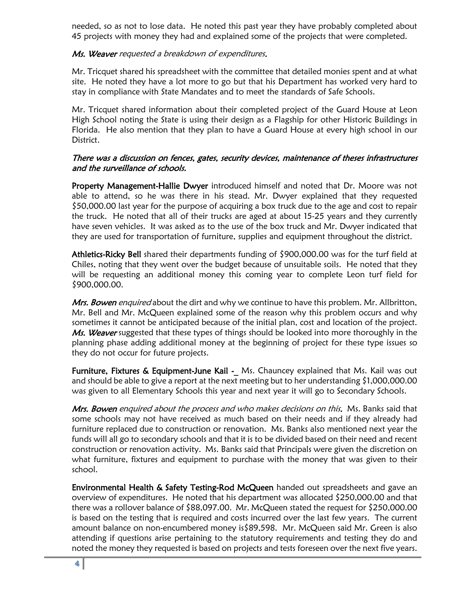needed, so as not to lose data. He noted this past year they have probably completed about 45 projects with money they had and explained some of the projects that were completed.

### Ms. Weaver requested a breakdown of expenditures.

Mr. Tricquet shared his spreadsheet with the committee that detailed monies spent and at what site. He noted they have a lot more to go but that his Department has worked very hard to stay in compliance with State Mandates and to meet the standards of Safe Schools.

Mr. Tricquet shared information about their completed project of the Guard House at Leon High School noting the State is using their design as a Flagship for other Historic Buildings in Florida. He also mention that they plan to have a Guard House at every high school in our District.

### There was a discussion on fences, gates, security devices, maintenance of theses infrastructures and the surveillance of schools.

Property Management-Hallie Dwyer introduced himself and noted that Dr. Moore was not able to attend, so he was there in his stead. Mr. Dwyer explained that they requested \$50,000.00 last year for the purpose of acquiring a box truck due to the age and cost to repair the truck. He noted that all of their trucks are aged at about 15-25 years and they currently have seven vehicles. It was asked as to the use of the box truck and Mr. Dwyer indicated that they are used for transportation of furniture, supplies and equipment throughout the district.

Athletics-Ricky Bell shared their departments funding of \$900,000.00 was for the turf field at Chiles, noting that they went over the budget because of unsuitable soils. He noted that they will be requesting an additional money this coming year to complete Leon turf field for \$900,000.00.

Mrs. Bowen enquired about the dirt and why we continue to have this problem. Mr. Allbritton, Mr. Bell and Mr. McQueen explained some of the reason why this problem occurs and why sometimes it cannot be anticipated because of the initial plan, cost and location of the project. Ms. Weaver suggested that these types of things should be looked into more thoroughly in the planning phase adding additional money at the beginning of project for these type issues so they do not occur for future projects.

Furniture, Fixtures & Equipment-June Kail -\_ Ms. Chauncey explained that Ms. Kail was out and should be able to give a report at the next meeting but to her understanding \$1,000,000.00 was given to all Elementary Schools this year and next year it will go to Secondary Schools.

Mrs. Bowen enquired about the process and who makes decisions on this. Ms. Banks said that some schools may not have received as much based on their needs and if they already had furniture replaced due to construction or renovation. Ms. Banks also mentioned next year the funds will all go to secondary schools and that it is to be divided based on their need and recent construction or renovation activity. Ms. Banks said that Principals were given the discretion on what furniture, fixtures and equipment to purchase with the money that was given to their school.

Environmental Health & Safety Testing-Rod McQueen handed out spreadsheets and gave an overview of expenditures. He noted that his department was allocated \$250,000.00 and that there was a rollover balance of \$88,097.00. Mr. McQueen stated the request for \$250,000.00 is based on the testing that is required and costs incurred over the last few years. The current amount balance on non-encumbered money is\$89,598. Mr. McQueen said Mr. Green is also attending if questions arise pertaining to the statutory requirements and testing they do and noted the money they requested is based on projects and tests foreseen over the next five years.